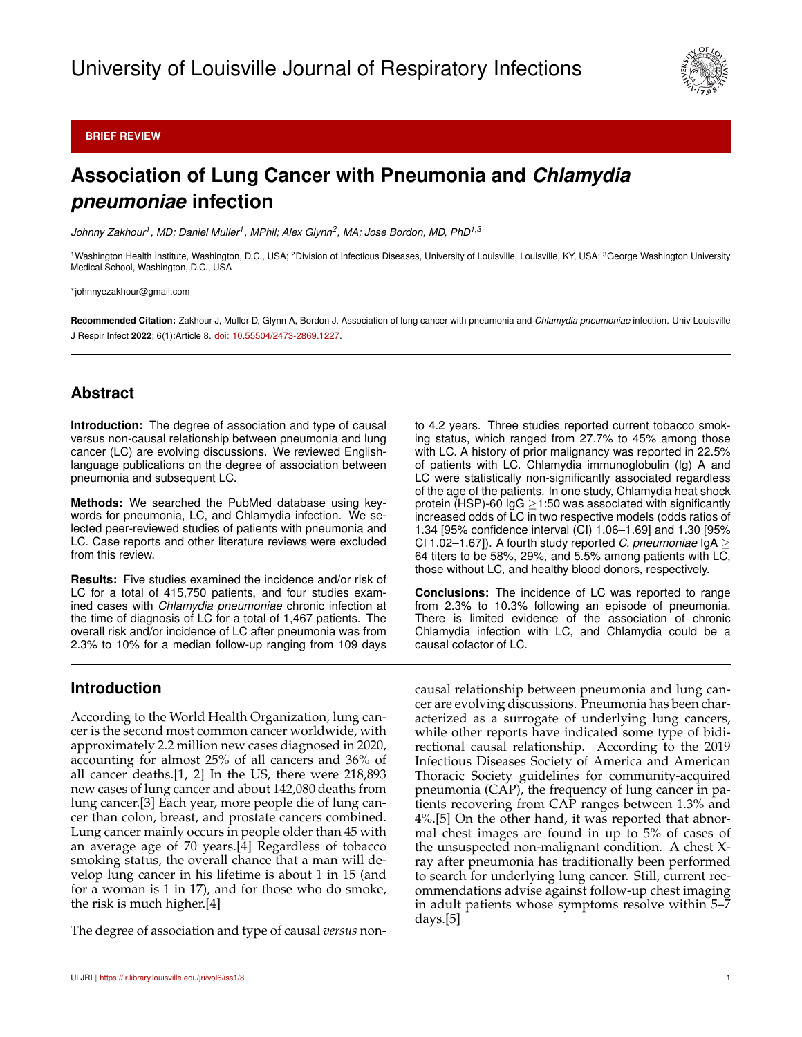

#### **BRIEF REVIEW**

# **Association of Lung Cancer with Pneumonia and** *Chlamydia pneumoniae* **infection**

*Johnny Zakhour<sup>1</sup> , MD; Daniel Muller<sup>1</sup> , MPhil; Alex Glynn<sup>2</sup> , MA; Jose Bordon, MD, PhD1,3*

<sup>1</sup>Washington Health Institute, Washington, D.C., USA; <sup>2</sup>Division of Infectious Diseases, University of Louisville, Louisville, KY, USA; <sup>3</sup>George Washington University Medical School, Washington, D.C., USA

∗ johnnyezakhour@gmail.com

**Recommended Citation:** Zakhour J, Muller D, Glynn A, Bordon J. Association of lung cancer with pneumonia and *Chlamydia pneumoniae* infection. Univ Louisville J Respir Infect **2022**; 6(1):Article 8. [doi: 10.55504/2473-2869.1227.](http://dx.doi.org/10.55504/2473-2869.\submissionno )

# **Abstract**

**Introduction:** The degree of association and type of causal versus non-causal relationship between pneumonia and lung cancer (LC) are evolving discussions. We reviewed Englishlanguage publications on the degree of association between pneumonia and subsequent LC.

**Methods:** We searched the PubMed database using keywords for pneumonia, LC, and Chlamydia infection. We selected peer-reviewed studies of patients with pneumonia and LC. Case reports and other literature reviews were excluded from this review.

**Results:** Five studies examined the incidence and/or risk of LC for a total of 415,750 patients, and four studies examined cases with *Chlamydia pneumoniae* chronic infection at the time of diagnosis of LC for a total of 1,467 patients. The overall risk and/or incidence of LC after pneumonia was from 2.3% to 10% for a median follow-up ranging from 109 days to 4.2 years. Three studies reported current tobacco smoking status, which ranged from 27.7% to 45% among those with LC. A history of prior malignancy was reported in 22.5% of patients with LC. Chlamydia immunoglobulin (Ig) A and LC were statistically non-significantly associated regardless of the age of the patients. In one study, Chlamydia heat shock protein (HSP)-60  $\lg G \geq 1:50$  was associated with significantly increased odds of LC in two respective models (odds ratios of 1.34 [95% confidence interval (CI) 1.06–1.69] and 1.30 [95% CI 1.02–1.67]). A fourth study reported *C. pneumoniae*  $\lg A \geq$ 64 titers to be 58%, 29%, and 5.5% among patients with LC, those without LC, and healthy blood donors, respectively.

**Conclusions:** The incidence of LC was reported to range from 2.3% to 10.3% following an episode of pneumonia. There is limited evidence of the association of chronic Chlamydia infection with LC, and Chlamydia could be a causal cofactor of LC.

# **Introduction**

According to the World Health Organization, lung cancer is the second most common cancer worldwide, with approximately 2.2 million new cases diagnosed in 2020, accounting for almost 25% of all cancers and 36% of all cancer deaths.[1, 2] In the US, there were 218,893 new cases of lung cancer and about 142,080 deaths from lung cancer.[3] Each year, more people die of lung cancer than colon, breast, and prostate cancers combined. Lung cancer mainly occurs in people older than 45 with an average age of 70 years.[4] Regardless of tobacco smoking status, the overall chance that a man will develop lung cancer in his lifetime is about 1 in 15 (and for a woman is 1 in 17), and for those who do smoke, the risk is much higher.[4]

The degree of association and type of causal *versus* non-

causal relationship between pneumonia and lung cancer are evolving discussions. Pneumonia has been characterized as a surrogate of underlying lung cancers, while other reports have indicated some type of bidirectional causal relationship. According to the 2019 Infectious Diseases Society of America and American Thoracic Society guidelines for community-acquired pneumonia (CAP), the frequency of lung cancer in patients recovering from CAP ranges between 1.3% and 4%.[5] On the other hand, it was reported that abnormal chest images are found in up to 5% of cases of the unsuspected non-malignant condition. A chest Xray after pneumonia has traditionally been performed to search for underlying lung cancer. Still, current recommendations advise against follow-up chest imaging in adult patients whose symptoms resolve within 5–7 days.[5]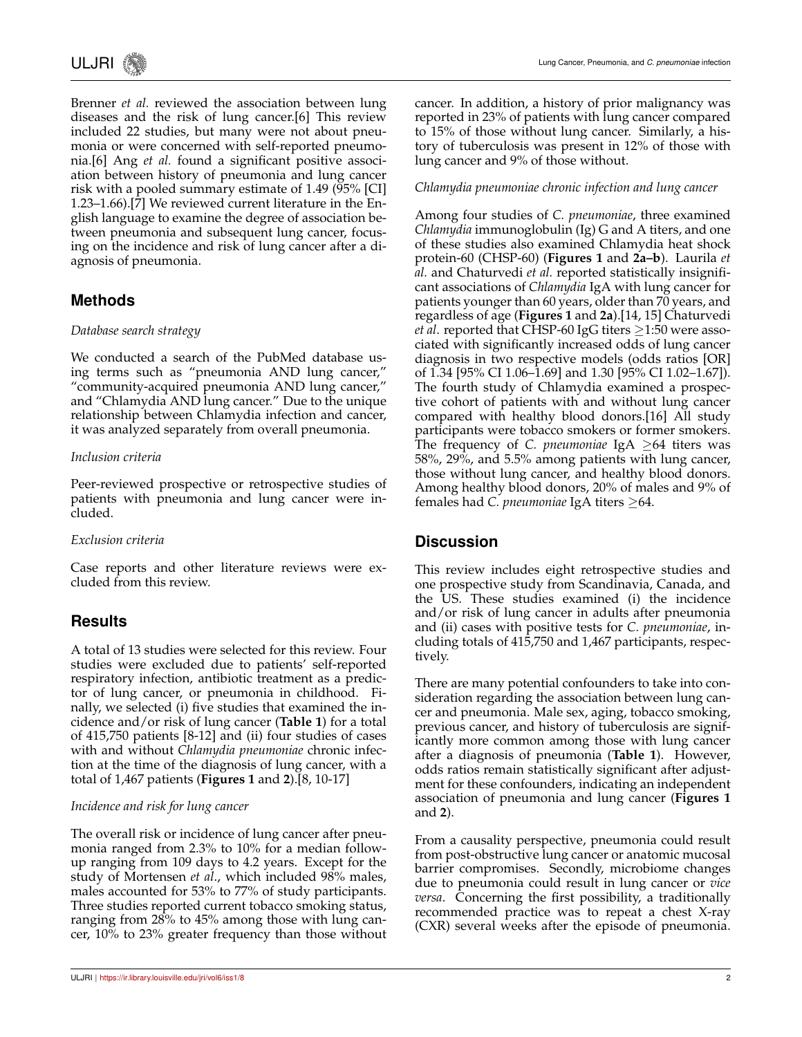

Brenner *et al.* reviewed the association between lung diseases and the risk of lung cancer.[6] This review included 22 studies, but many were not about pneumonia or were concerned with self-reported pneumonia.[6] Ang *et al.* found a significant positive association between history of pneumonia and lung cancer risk with a pooled summary estimate of 1.49 (95% [CI] 1.23–1.66).[7] We reviewed current literature in the English language to examine the degree of association between pneumonia and subsequent lung cancer, focusing on the incidence and risk of lung cancer after a diagnosis of pneumonia.

# **Methods**

#### *Database search strategy*

We conducted a search of the PubMed database using terms such as "pneumonia AND lung cancer," "community-acquired pneumonia AND lung cancer," and "Chlamydia AND lung cancer." Due to the unique relationship between Chlamydia infection and cancer, it was analyzed separately from overall pneumonia.

#### *Inclusion criteria*

Peer-reviewed prospective or retrospective studies of patients with pneumonia and lung cancer were included.

#### *Exclusion criteria*

Case reports and other literature reviews were excluded from this review.

# **Results**

A total of 13 studies were selected for this review. Four studies were excluded due to patients' self-reported respiratory infection, antibiotic treatment as a predictor of lung cancer, or pneumonia in childhood. Finally, we selected (i) five studies that examined the incidence and/or risk of lung cancer (**Table 1**) for a total of 415,750 patients [8-12] and (ii) four studies of cases with and without *Chlamydia pneumoniae* chronic infection at the time of the diagnosis of lung cancer, with a total of 1,467 patients (**Figures 1** and **2**).[8, 10-17]

#### *Incidence and risk for lung cancer*

The overall risk or incidence of lung cancer after pneumonia ranged from 2.3% to 10% for a median followup ranging from 109 days to 4.2 years. Except for the study of Mortensen *et al*., which included 98% males, males accounted for 53% to 77% of study participants. Three studies reported current tobacco smoking status, ranging from 28% to 45% among those with lung cancer, 10% to 23% greater frequency than those without cancer. In addition, a history of prior malignancy was reported in 23% of patients with lung cancer compared to 15% of those without lung cancer. Similarly, a history of tuberculosis was present in 12% of those with lung cancer and 9% of those without.

#### *Chlamydia pneumoniae chronic infection and lung cancer*

Among four studies of *C. pneumoniae*, three examined *Chlamydia* immunoglobulin (Ig) G and A titers, and one of these studies also examined Chlamydia heat shock protein-60 (CHSP-60) (**Figures 1** and **2a–b**). Laurila *et al.* and Chaturvedi *et al.* reported statistically insignificant associations of *Chlamydia* IgA with lung cancer for patients younger than 60 years, older than 70 years, and regardless of age (**Figures 1** and **2a**).[14, 15] Chaturvedi *et al.* reported that CHSP-60 IgG titers ≥1:50 were associated with significantly increased odds of lung cancer diagnosis in two respective models (odds ratios [OR] of 1.34 [95% CI 1.06–1.69] and 1.30 [95% CI 1.02–1.67]). The fourth study of Chlamydia examined a prospective cohort of patients with and without lung cancer compared with healthy blood donors.[16] All study participants were tobacco smokers or former smokers. The frequency of *C. pneumoniae* IgA ≥64 titers was 58%, 29%, and 5.5% among patients with lung cancer, those without lung cancer, and healthy blood donors. Among healthy blood donors, 20% of males and 9% of females had *C. pneumoniae* IgA titers ≥64.

## **Discussion**

This review includes eight retrospective studies and one prospective study from Scandinavia, Canada, and the US. These studies examined (i) the incidence and/or risk of lung cancer in adults after pneumonia and (ii) cases with positive tests for *C. pneumoniae*, including totals of 415,750 and 1,467 participants, respectively.

There are many potential confounders to take into consideration regarding the association between lung cancer and pneumonia. Male sex, aging, tobacco smoking, previous cancer, and history of tuberculosis are significantly more common among those with lung cancer after a diagnosis of pneumonia (**Table 1**). However, odds ratios remain statistically significant after adjustment for these confounders, indicating an independent association of pneumonia and lung cancer (**Figures 1** and **2**).

From a causality perspective, pneumonia could result from post-obstructive lung cancer or anatomic mucosal barrier compromises. Secondly, microbiome changes due to pneumonia could result in lung cancer or *vice versa*. Concerning the first possibility, a traditionally recommended practice was to repeat a chest X-ray (CXR) several weeks after the episode of pneumonia.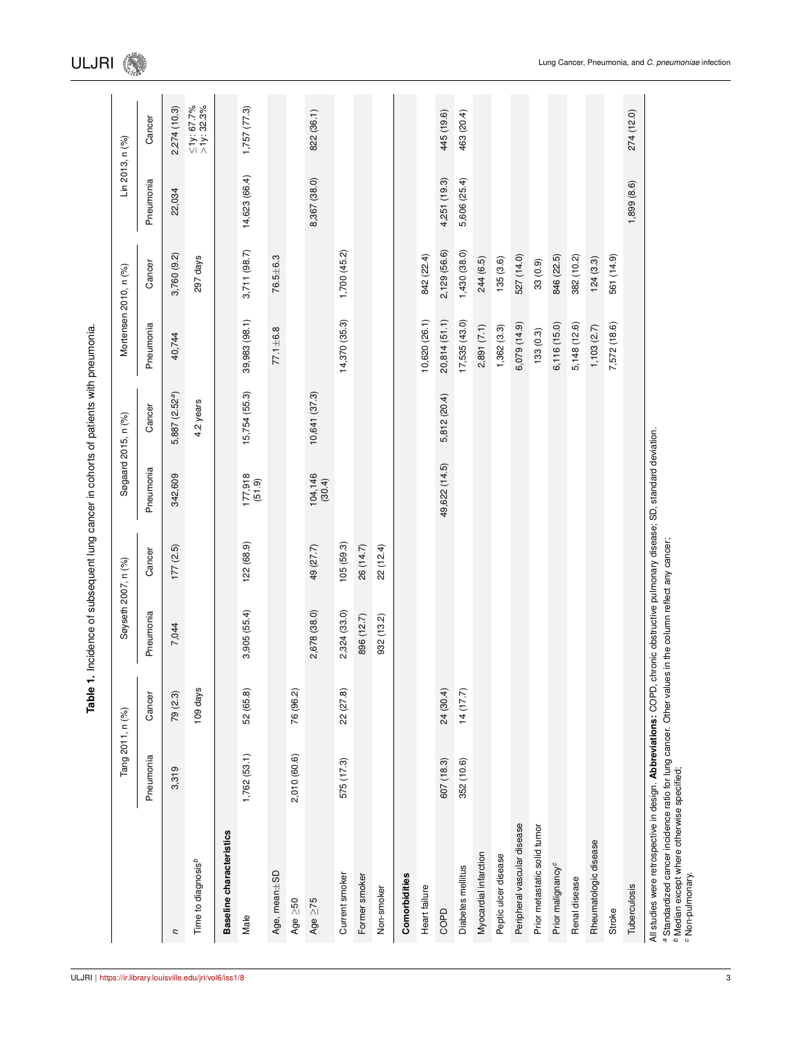|                                                                                                                                                                                                                                                                                             | Tang 2011, n (%) |           | Søyseth 2007, n (%)                  |           |                        | Søgaard 2015, n (%)        |                | Mortensen 2010, n (%) | Lin 2013, n (%) |                                |
|---------------------------------------------------------------------------------------------------------------------------------------------------------------------------------------------------------------------------------------------------------------------------------------------|------------------|-----------|--------------------------------------|-----------|------------------------|----------------------------|----------------|-----------------------|-----------------|--------------------------------|
|                                                                                                                                                                                                                                                                                             | Pneumonia        | Cancer    | Pneumonia                            | Cancer    | Pneumonia              | Cancer                     | Pneumonia      | Cancer                | Pneumonia       | Cancer                         |
| U                                                                                                                                                                                                                                                                                           | 3,319            | 79(2.3)   | 7,044                                | 177(2.5)  | 342,609                | 5,887 (2.52 <sup>a</sup> ) | 40,744         | 3,760 (9.2)           | 22,034          | 2,274 (10.3)                   |
|                                                                                                                                                                                                                                                                                             |                  |           |                                      |           |                        |                            |                |                       |                 |                                |
| Time to diagnosis <sup>b</sup>                                                                                                                                                                                                                                                              |                  | 109 days  |                                      |           |                        | 4.2 years                  |                | 297 days              |                 | $\leq$ 1y: 67.7%<br>>1y: 32.3% |
| Baseline characteristics                                                                                                                                                                                                                                                                    |                  |           |                                      |           |                        |                            |                |                       |                 |                                |
| Male                                                                                                                                                                                                                                                                                        | 1,762(53.1)      | 52 (65.8) | 3,905 (55.4)                         | 122(68.9) | $177,918$<br>$(51.9)$  | 15,754 (55.3)              | 39,983 (98.1)  | 3,711 (98.7)          | 14,623 (66.4)   | 1,757(77.3)                    |
| Age, mean $\pm$ SD                                                                                                                                                                                                                                                                          |                  |           |                                      |           |                        |                            | $77.1 \pm 6.8$ | $76.5 + 6.3$          |                 |                                |
| $Age \geq 50$                                                                                                                                                                                                                                                                               | 2,010 (60.6)     | 76 (96.2) |                                      |           |                        |                            |                |                       |                 |                                |
| Age $\geq$ 75                                                                                                                                                                                                                                                                               |                  |           | 2,678 (38.0)                         | 49 (27.7) | $104, 146$<br>$(30.4)$ | 10,641 (37.3)              |                |                       | 8,367 (38.0)    | 822 (36.1)                     |
| Current smoker                                                                                                                                                                                                                                                                              | 575 (17.3)       | 22 (27.8) | 2,324 (33.0)                         | 105(59.3) |                        |                            | 14,370 (35.3)  | 1,700(45.2)           |                 |                                |
| Former smoker                                                                                                                                                                                                                                                                               |                  |           | 896 (12.7)                           | 26 (14.7) |                        |                            |                |                       |                 |                                |
| Non-smoker                                                                                                                                                                                                                                                                                  |                  |           | 932 (13.2)                           | 22 (12.4) |                        |                            |                |                       |                 |                                |
| Comorbidities                                                                                                                                                                                                                                                                               |                  |           |                                      |           |                        |                            |                |                       |                 |                                |
| Heart failure                                                                                                                                                                                                                                                                               |                  |           |                                      |           |                        |                            | 10,620 (26.1)  | 842 (22.4)            |                 |                                |
| COPD                                                                                                                                                                                                                                                                                        | 607 (18.3)       | 24 (30.4) |                                      |           | 49,622 (14.5)          | 5,812 (20.4)               | 20,814 (51.1)  | 2,129 (56.6)          | 4,251 (19.3)    | 445 (19.6)                     |
| Diabetes mellitus                                                                                                                                                                                                                                                                           | 352 (10.6)       | 14(17.7)  |                                      |           |                        |                            | 17,535(43.0)   | 1,430(38.0)           | 5,606 (25.4)    | 463 (20.4)                     |
| Myocardial infarction                                                                                                                                                                                                                                                                       |                  |           |                                      |           |                        |                            | 2,891(7.1)     | 244 (6.5)             |                 |                                |
| Peptic ulcer disease                                                                                                                                                                                                                                                                        |                  |           |                                      |           |                        |                            | 1,362(3.3)     | 135(3.6)              |                 |                                |
| Peripheral vascular disease                                                                                                                                                                                                                                                                 |                  |           |                                      |           |                        |                            | 6,079 (14.9)   | 527 (14.0)            |                 |                                |
| Prior metastatic solid tumor                                                                                                                                                                                                                                                                |                  |           |                                      |           |                        |                            | 133(0.3)       | 33(0.9)               |                 |                                |
| Prior malignancy <sup>c</sup>                                                                                                                                                                                                                                                               |                  |           |                                      |           |                        |                            | 6,116 (15.0)   | 846 (22.5)            |                 |                                |
| Renal disease                                                                                                                                                                                                                                                                               |                  |           |                                      |           |                        |                            | 5,148 (12.6)   | 382 (10.2)            |                 |                                |
| Rheumatologic disease                                                                                                                                                                                                                                                                       |                  |           |                                      |           |                        |                            | 1,103(2.7)     | 124(3.3)              |                 |                                |
| Stroke                                                                                                                                                                                                                                                                                      |                  |           |                                      |           |                        |                            | 7,572 (18.6)   | 561 (14.9)            |                 |                                |
| Tuberculosis                                                                                                                                                                                                                                                                                |                  |           |                                      |           |                        |                            |                |                       | 1,899 (8.6)     | 274 (12.0)                     |
| All studies were retrospective in design. Abbreviations: COPD, chronic obstructive pulmonary disease; SD, standard deviation.<br>a Standardized cancer incidence ratio for lung cancer. Other value<br><sup>b</sup> Median except where otherwise specified;<br><sup>c</sup> Non-pulmonary. |                  |           | is in the column reflect any cancer; |           |                        |                            |                |                       |                 |                                |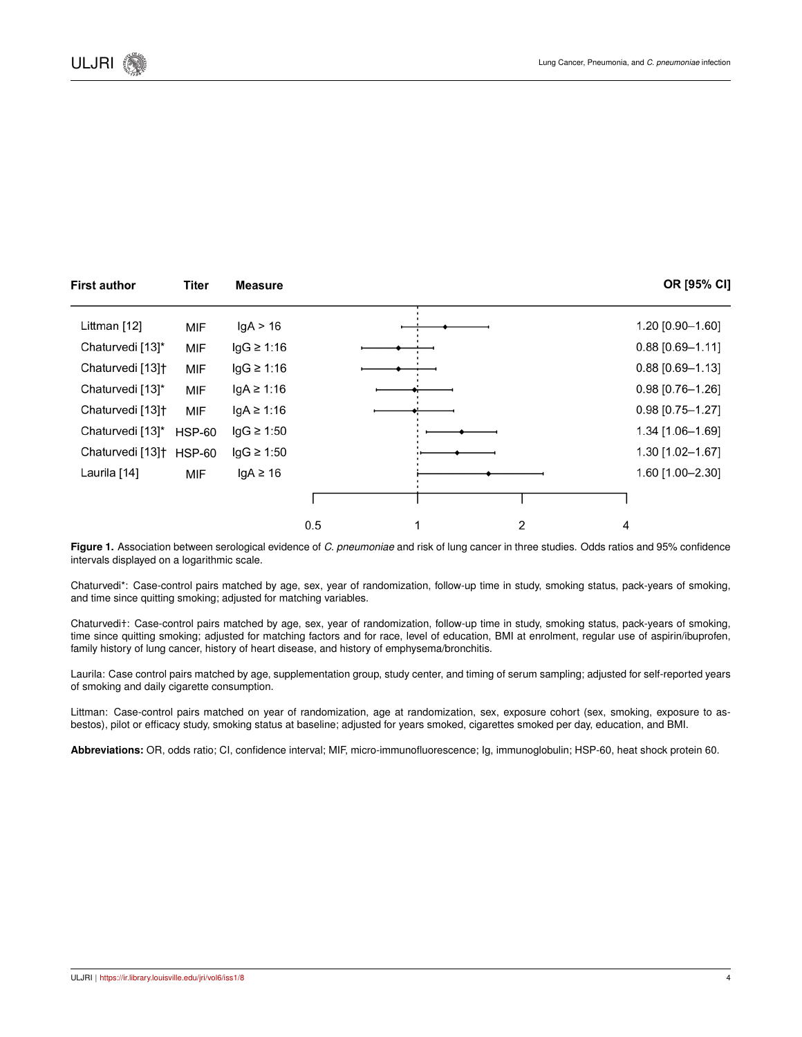| <b>First author</b>                 | <b>Titer</b>  | <b>Measure</b>  |     |   | OR [95% CI]        |
|-------------------------------------|---------------|-----------------|-----|---|--------------------|
| Littman [12]                        | <b>MIF</b>    | lgA > 16        |     |   | 1.20 [0.90-1.60]   |
| Chaturvedi [13]*                    | MIF           | $lgG \geq 1:16$ |     |   | $0.88$ [0.69-1.11] |
| Chaturvedi [13] <sup>+</sup>        | <b>MIF</b>    | $lgG \geq 1:16$ |     |   | $0.88$ [0.69-1.13] |
| Chaturvedi [13]*                    | MIF           | lgA ≥ 1:16      |     |   | $0.98$ [0.76-1.26] |
| Chaturvedi [13] <sup>+</sup>        | MIF           | $lgA \geq 1:16$ |     |   | $0.98$ [0.75-1.27] |
| Chaturvedi [13]*                    | <b>HSP-60</b> | $lgG \geq 1:50$ |     |   | 1.34 [1.06-1.69]   |
| Chaturvedi [13] <sup>+</sup> HSP-60 |               | $lgG \geq 1:50$ |     |   | 1.30 [1.02-1.67]   |
| Laurila [14]                        | MIF           | $lgA \geq 16$   |     |   | 1.60 [1.00-2.30]   |
|                                     |               |                 |     |   |                    |
|                                     |               |                 | 0.5 | 2 | 4                  |

**Figure 1.** Association between serological evidence of *C. pneumoniae* and risk of lung cancer in three studies. Odds ratios and 95% confidence intervals displayed on a logarithmic scale.

Chaturvedi\*: Case-control pairs matched by age, sex, year of randomization, follow-up time in study, smoking status, pack-years of smoking, and time since quitting smoking; adjusted for matching variables.

Chaturvedi†: Case-control pairs matched by age, sex, year of randomization, follow-up time in study, smoking status, pack-years of smoking, time since quitting smoking; adjusted for matching factors and for race, level of education, BMI at enrolment, regular use of aspirin/ibuprofen, family history of lung cancer, history of heart disease, and history of emphysema/bronchitis.

Laurila: Case control pairs matched by age, supplementation group, study center, and timing of serum sampling; adjusted for self-reported years of smoking and daily cigarette consumption.

Littman: Case-control pairs matched on year of randomization, age at randomization, sex, exposure cohort (sex, smoking, exposure to asbestos), pilot or efficacy study, smoking status at baseline; adjusted for years smoked, cigarettes smoked per day, education, and BMI.

**Abbreviations:** OR, odds ratio; CI, confidence interval; MIF, micro-immunofluorescence; Ig, immunoglobulin; HSP-60, heat shock protein 60.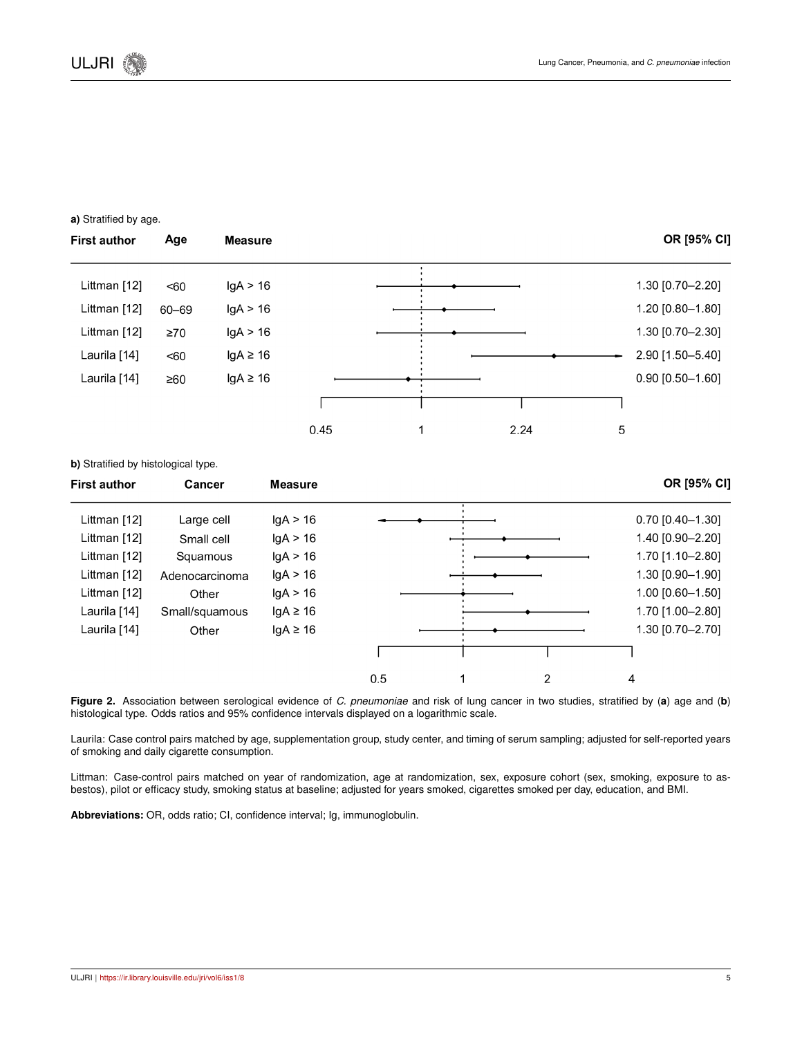#### **a)** Stratified by age.

**b)** Stratified by histological type.

OR [95% CI] **First author** Age **Measure** Littman [12]  $lgA > 16$ 1.30 [0.70-2.20]  $<60$ Littman [12]  $60 - 69$  $IqA > 16$ 1.20 [0.80-1.80] Littman [12] 1.30 [0.70-2.30]  $\geq 70$  $lgA > 16$ Laurila [14] 2.90 [1.50-5.40]  $<60$  $lgA \geq 16$ Laurila [14]  $lgA \geq 16$  $0.90$  [0.50-1.60]  $\geq 60$ ٦ J.  $\mathbf{1}$ 2.24 5 0.45

| <b>First author</b> | Cancer         | <b>Measure</b> |          |   | OR [95% CI]        |
|---------------------|----------------|----------------|----------|---|--------------------|
| Littman [12]        | Large cell     | lgA > 16       |          |   | $0.70$ [0.40-1.30] |
| Littman [12]        | Small cell     | lgA > 16       |          |   | 1.40 [0.90-2.20]   |
| Littman [12]        | Squamous       | lgA > 16       |          |   | 1.70 [1.10-2.80]   |
| Littman [12]        | Adenocarcinoma | lgA > 16       |          |   | 1.30 [0.90-1.90]   |
| Littman [12]        | Other          | lgA > 16       |          |   | 1.00 [0.60-1.50]   |
| Laurila [14]        | Small/squamous | $lgA \geq 16$  |          |   | 1.70 [1.00-2.80]   |
| Laurila [14]        | Other          | $lgA \geq 16$  |          |   | 1.30 [0.70-2.70]   |
|                     |                |                |          |   |                    |
|                     |                |                | 0.5<br>1 | 2 | 4                  |

**Figure 2.** Association between serological evidence of *C. pneumoniae* and risk of lung cancer in two studies, stratified by (**a**) age and (**b**) histological type. Odds ratios and 95% confidence intervals displayed on a logarithmic scale.

Laurila: Case control pairs matched by age, supplementation group, study center, and timing of serum sampling; adjusted for self-reported years of smoking and daily cigarette consumption.

Littman: Case-control pairs matched on year of randomization, age at randomization, sex, exposure cohort (sex, smoking, exposure to asbestos), pilot or efficacy study, smoking status at baseline; adjusted for years smoked, cigarettes smoked per day, education, and BMI.

**Abbreviations:** OR, odds ratio; CI, confidence interval; Ig, immunoglobulin.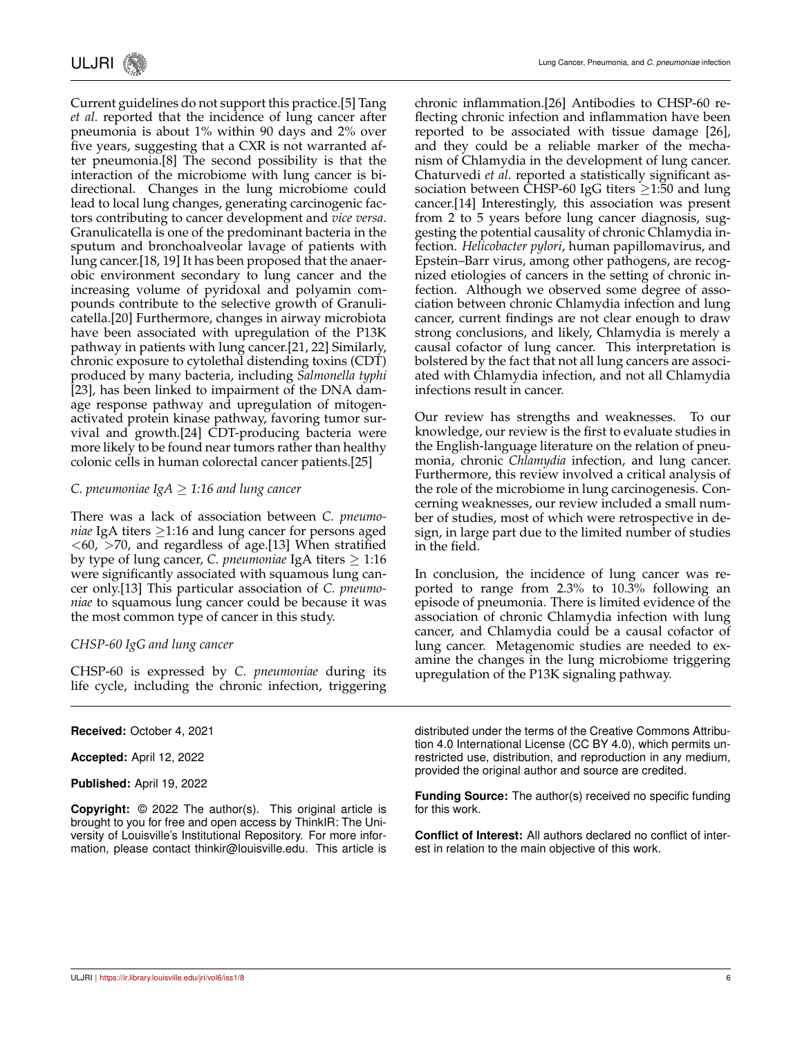Current guidelines do not support this practice.[5] Tang *et al.* reported that the incidence of lung cancer after pneumonia is about 1% within 90 days and 2% over five years, suggesting that a CXR is not warranted after pneumonia.[8] The second possibility is that the interaction of the microbiome with lung cancer is bidirectional. Changes in the lung microbiome could lead to local lung changes, generating carcinogenic factors contributing to cancer development and *vice versa*. Granulicatella is one of the predominant bacteria in the sputum and bronchoalveolar lavage of patients with lung cancer.[18, 19] It has been proposed that the anaerobic environment secondary to lung cancer and the increasing volume of pyridoxal and polyamin compounds contribute to the selective growth of Granulicatella.[20] Furthermore, changes in airway microbiota have been associated with upregulation of the P13K pathway in patients with lung cancer.[21, 22] Similarly, chronic exposure to cytolethal distending toxins (CDT) produced by many bacteria, including *Salmonella typhi* [23], has been linked to impairment of the DNA damage response pathway and upregulation of mitogenactivated protein kinase pathway, favoring tumor survival and growth.[24] CDT-producing bacteria were more likely to be found near tumors rather than healthy colonic cells in human colorectal cancer patients.[25]

#### *C. pneumoniae IgA*  $\geq$  1:16 and lung cancer

There was a lack of association between *C. pneumoniae* IgA titers ≥1:16 and lung cancer for persons aged  $<$ 60,  $>$ 70, and regardless of age.[13] When stratified by type of lung cancer, *C. pneumoniae* IgA titers ≥ 1:16 were significantly associated with squamous lung cancer only.[13] This particular association of *C. pneumoniae* to squamous lung cancer could be because it was the most common type of cancer in this study.

## *CHSP-60 IgG and lung cancer*

CHSP-60 is expressed by *C. pneumoniae* during its life cycle, including the chronic infection, triggering

#### **Received:** October 4, 2021

**Accepted:** April 12, 2022

**Published:** April 19, 2022

**Copyright:** © 2022 The author(s). This original article is brought to you for free and open access by ThinkIR: The University of Louisville's Institutional Repository. For more information, please contact thinkir@louisville.edu. This article is chronic inflammation.[26] Antibodies to CHSP-60 reflecting chronic infection and inflammation have been reported to be associated with tissue damage [26], and they could be a reliable marker of the mechanism of Chlamydia in the development of lung cancer. Chaturvedi *et al.* reported a statistically significant association between CHSP-60 IgG titers  $\geq$ 1:50 and lung cancer.[14] Interestingly, this association was present from 2 to 5 years before lung cancer diagnosis, suggesting the potential causality of chronic Chlamydia infection. *Helicobacter pylori*, human papillomavirus, and Epstein–Barr virus, among other pathogens, are recognized etiologies of cancers in the setting of chronic infection. Although we observed some degree of association between chronic Chlamydia infection and lung cancer, current findings are not clear enough to draw strong conclusions, and likely, Chlamydia is merely a causal cofactor of lung cancer. This interpretation is bolstered by the fact that not all lung cancers are associated with Chlamydia infection, and not all Chlamydia infections result in cancer.

Our review has strengths and weaknesses. To our knowledge, our review is the first to evaluate studies in the English-language literature on the relation of pneumonia, chronic *Chlamydia* infection, and lung cancer. Furthermore, this review involved a critical analysis of the role of the microbiome in lung carcinogenesis. Concerning weaknesses, our review included a small number of studies, most of which were retrospective in design, in large part due to the limited number of studies in the field.

In conclusion, the incidence of lung cancer was reported to range from 2.3% to 10.3% following an episode of pneumonia. There is limited evidence of the association of chronic Chlamydia infection with lung cancer, and Chlamydia could be a causal cofactor of lung cancer. Metagenomic studies are needed to examine the changes in the lung microbiome triggering upregulation of the P13K signaling pathway.

distributed under the terms of the Creative Commons Attribution 4.0 International License (CC BY 4.0), which permits unrestricted use, distribution, and reproduction in any medium, provided the original author and source are credited.

**Funding Source:** The author(s) received no specific funding for this work.

**Conflict of Interest:** All authors declared no conflict of interest in relation to the main objective of this work.